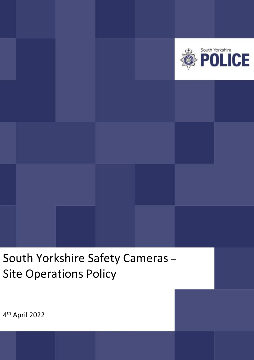

South Yorkshire Safety Cameras – Site Operations Policy

4 th April 2022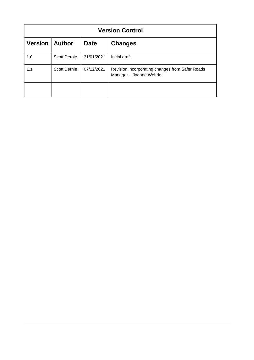| <b>Version Control</b> |                     |             |                                                                            |  |  |  |  |
|------------------------|---------------------|-------------|----------------------------------------------------------------------------|--|--|--|--|
| <b>Version</b>         | <b>Author</b>       | <b>Date</b> | <b>Changes</b>                                                             |  |  |  |  |
| 1.0                    | <b>Scott Dernie</b> | 31/01/2021  | Initial draft                                                              |  |  |  |  |
| 1.1                    | <b>Scott Dernie</b> | 07/12/2021  | Revision incorporating changes from Safer Roads<br>Manager - Joanne Wehrle |  |  |  |  |
|                        |                     |             |                                                                            |  |  |  |  |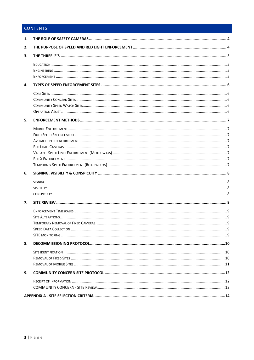# CONTENTS

| 1. |  |
|----|--|
| 2. |  |
| 3. |  |
|    |  |
| 4. |  |
|    |  |
| 5. |  |
|    |  |
| 6. |  |
|    |  |
| 7. |  |
|    |  |
| 8. |  |
|    |  |
| 9. |  |
|    |  |
|    |  |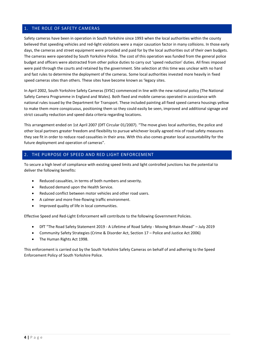## <span id="page-3-0"></span>1. THE ROLE OF SAFETY CAMERAS

Safety cameras have been in operation in South Yorkshire since 1993 when the local authorities within the county believed that speeding vehicles and red-light violations were a major causation factor in many collisions. In those early days, the cameras and street equipment were provided and paid for by the local authorities out of their own budgets. The cameras were operated by South Yorkshire Police. The cost of this operation was funded from the general police budget and officers were abstracted from other police duties to carry out 'speed reduction' duties. All fines imposed were paid through the courts and retained by the government. Site selection at this time was unclear with no hard and fast rules to determine the deployment of the cameras. Some local authorities invested more heavily in fixed speed cameras sites than others. These sites have become known as 'legacy sites.

In April 2002, South Yorkshire Safety Cameras (SYSC) commenced in line with the new national policy (The National Safety Camera Programme in England and Wales). Both fixed and mobile cameras operated in accordance with national rules issued by the Department for Transport. These included painting all fixed speed camera housings yellow to make them more conspicuous, positioning them so they could easily be seen, improved and additional signage and strict casualty reduction and speed data criteria regarding locations.

This arrangement ended on 1st April 2007 (DfT Circular 01/2007). "The move gives local authorities, the police and other local partners greater freedom and flexibility to pursue whichever locally agreed mix of road safety measures they see fit in order to reduce road casualties in their area. With this also comes greater local accountability for the future deployment and operation of cameras".

## <span id="page-3-1"></span>THE PURPOSE OF SPEED AND RED LIGHT ENFORCEMENT

To secure a high level of compliance with existing speed limits and light controlled junctions has the potential to deliver the following benefits:

- Reduced casualties, in terms of both numbers and severity.
- Reduced demand upon the Health Service.
- Reduced conflict between motor vehicles and other road users.
- A calmer and more free-flowing traffic environment.
- Improved quality of life in local communities.

Effective Speed and Red-Light Enforcement will contribute to the following Government Policies.

- DfT "The Road Safety Statement 2019 A Lifetime of Road Safety Moving Britain Ahead" July 2019
- Community Safety Strategies (Crime & Disorder Act, Section 17 Police and Justice Act 2006)
- The Human Rights Act 1998.

This enforcement is carried out by the South Yorkshire Safety Cameras on behalf of and adhering to the Speed Enforcement Policy of South Yorkshire Police.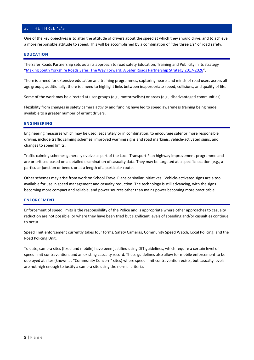## <span id="page-4-0"></span>3. THE THREE 'E'S

One of the key objectives is to alter the attitude of drivers about the speed at which they should drive, and to achieve a more responsible attitude to speed. This will be accomplished by a combination of "the three E's" of road safety.

### <span id="page-4-1"></span>**EDUCATION**

The Safer Roads Partnership sets outs its approach to road safety Education, Training and Publicity in its strategy "[Making South Yorkshire Roads Safer: The Way Forward: A Safer Roads Partnership Strategy 2017-2026](https://sysrp.co.uk/SYSRP/media/SYSRPMedia/Content/WhoWeAre/Strategies%20and%20plans/SRP-Strategy-Making-SY-Roads-Safer-2017-2026.pdf)".

There is a need for extensive education and training programmes, capturing hearts and minds of road users across all age groups; additionally, there is a need to highlight links between inappropriate speed, collisions, and quality of life.

Some of the work may be directed at user-groups (e.g., motorcyclists) or areas (e.g., disadvantaged communities).

Flexibility from changes in safety camera activity and funding have led to speed awareness training being made available to a greater number of errant drivers.

#### <span id="page-4-2"></span>**ENGINEERING**

Engineering measures which may be used, separately or in combination, to encourage safer or more responsible driving, include traffic calming schemes, improved warning signs and road markings, vehicle-activated signs, and changes to speed limits.

Traffic calming schemes generally evolve as part of the Local Transport Plan highway improvement programme and are prioritised based on a detailed examination of casualty data. They may be targeted at a specific location (e.g., a particular junction or bend), or at a length of a particular route.

Other schemes may arise from work on School Travel Plans or similar initiatives. Vehicle-activated signs are a tool available for use in speed management and casualty reduction. The technology is still advancing, with the signs becoming more compact and reliable, and power sources other than mains power becoming more practicable.

#### <span id="page-4-3"></span>**ENFORCEMENT**

Enforcement of speed limits is the responsibility of the Police and is appropriate where other approaches to casualty reduction are not possible, or where they have been tried but significant levels of speeding and/or casualties continue to occur.

Speed limit enforcement currently takes four forms, Safety Cameras, Community Speed Watch, Local Policing, and the Road Policing Unit.

To date, camera sites (fixed and mobile) have been justified using DfT guidelines, which require a certain level of speed limit contravention, and an existing casualty record. These guidelines also allow for mobile enforcement to be deployed at sites (known as "Community Concern" sites) where speed limit contravention exists, but casualty levels are not high enough to justify a camera site using the normal criteria.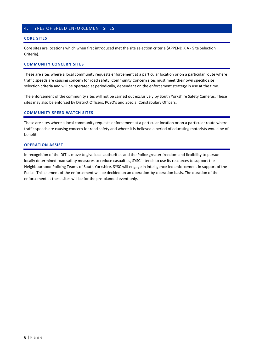## <span id="page-5-0"></span>4. TYPES OF SPEED ENFORCEMENT SITES

### <span id="page-5-1"></span>**CORE SITES**

Core sites are locations which when first introduced met the site selection criteria (APPENDIX A - [SIte Selection](#page-13-0)  [Criteria\)](#page-13-0).

### <span id="page-5-2"></span>**COMMUNITY CONCERN SITES**

These are sites where a local community requests enforcement at a particular location or on a particular route where traffic speeds are causing concern for road safety. Community Concern sites must meet their own specific site selection criteria and will be operated at periodically, dependant on the enforcement strategy in use at the time.

The enforcement of the community sites will not be carried out exclusively by South Yorkshire Safety Cameras. These sites may also be enforced by District Officers, PCSO's and Special Constabulary Officers.

### <span id="page-5-3"></span>**COMMUNITY SPEED WATCH SITES**

These are sites where a local community requests enforcement at a particular location or on a particular route where traffic speeds are causing concern for road safety and where it is believed a period of educating motorists would be of benefit.

### <span id="page-5-4"></span>**OPERATION ASSIST**

In recognition of the DfT' s move to give local authorities and the Police greater freedom and flexibility to pursue locally determined road safety measures to reduce casualties, SYSC intends to use its resources to support the Neighbourhood Policing Teams of South Yorkshire. SYSC will engage in intelligence-led enforcement in support of the Police. This element of the enforcement will be decided on an operation-by-operation basis. The duration of the enforcement at these sites will be for the pre-planned event only.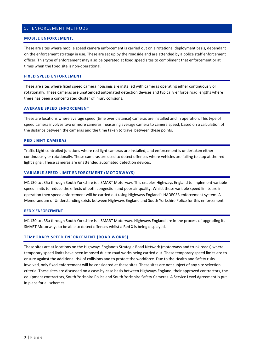## <span id="page-6-0"></span>5. ENFORCEMENT METHODS

### <span id="page-6-1"></span>**MOBILE ENFORCEMENT.**

These are sites where mobile speed camera enforcement is carried out on a rotational deployment basis, dependant on the enforcement strategy in use. These are set up by the roadside and are attended by a police staff enforcement officer. This type of enforcement may also be operated at fixed speed sites to compliment that enforcement or at times when the fixed site is non-operational.

### <span id="page-6-2"></span>**FIXED SPEED ENFORCEMENT**

These are sites where fixed speed camera housings are installed with cameras operating either continuously or rotationally. These cameras are unattended automated detection devices and typically enforce road lengths where there has been a concentrated cluster of injury collisions.

#### <span id="page-6-3"></span>**AVERAGE SPEED ENFORCEMENT**

These are locations where average speed (time over distance) cameras are installed and in operation. This type of speed camera involves two or more cameras measuring average camera to camera speed, based on a calculation of the distance between the cameras and the time taken to travel between these points.

#### <span id="page-6-4"></span>**RED LIGHT CAMERAS**

Traffic Light controlled junctions where red light cameras are installed, and enforcement is undertaken either continuously or rotationally. These cameras are used to detect offences where vehicles are failing to stop at the redlight signal. These cameras are unattended automated detection devices.

#### <span id="page-6-5"></span>**VARIABLE SPEED LIMIT ENFORCEMENT (MOTORWAYS)**

M1 J30 to J35a through South Yorkshire is a SMART Motorway. This enables Highways England to implement variable speed limits to reduce the effects of both congestion and poor air quality. Whilst these variable speed limits are in operation then speed enforcement will be carried out using Highways England's HADECS3 enforcement system. A Memorandum of Understanding exists between Highways England and South Yorkshire Police for this enforcement.

### <span id="page-6-6"></span>**RED X ENFORCEMENT**

M1 J30 to J35a through South Yorkshire is a SMART Motorway. Highways England are in the process of upgrading its SMART Motorways to be able to detect offences whilst a Red X is being displayed.

## <span id="page-6-7"></span>**TEMPORARY SPEED ENFORCEMENT (ROAD WORKS)**

These sites are at locations on the Highways England's Strategic Road Network (motorways and trunk roads) where temporary speed limits have been imposed due to road works being carried out. These temporary speed limits are to ensure against the additional risk of collisions and to protect the workforce. Due to the Health and Safety risks involved, only fixed enforcement will be considered at these sites. These sites are not subject of any site selection criteria. These sites are discussed on a case-by-case basis between Highways England, their approved contractors, the equipment contractors, South Yorkshire Police and South Yorkshire Safety Cameras. A Service Level Agreement is put in place for all schemes.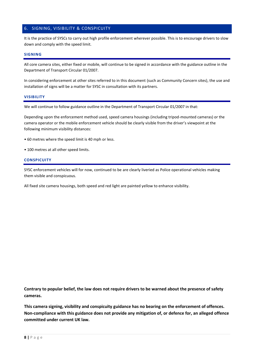## <span id="page-7-0"></span>6. SIGNING, VISIBILITY & CONSPICUITY

It is the practice of SYSCs to carry out high profile enforcement wherever possible. This is to encourage drivers to slow down and comply with the speed limit.

### <span id="page-7-1"></span>**SIGNING**

All core camera sites, either fixed or mobile, will continue to be signed in accordance with the guidance outline in the Department of Transport Circular 01/2007.

In considering enforcement at other sites referred to in this document (such as Community Concern sites), the use and installation of signs will be a matter for SYSC in consultation with its partners.

#### <span id="page-7-2"></span>**VISIBILITY**

We will continue to follow guidance outline in the Department of Transport Circular 01/2007 in that:

Depending upon the enforcement method used, speed camera housings (including tripod-mounted cameras) or the camera operator or the mobile enforcement vehicle should be clearly visible from the driver's viewpoint at the following minimum visibility distances:

- 60 metres where the speed limit is 40 mph or less.
- 100 metres at all other speed limits.

#### <span id="page-7-3"></span>**CONSPICUITY**

SYSC enforcement vehicles will for now, continued to be are clearly liveried as Police operational vehicles making them visible and conspicuous.

All fixed site camera housings, both speed and red light are painted yellow to enhance visibility.

**Contrary to popular belief, the law does not require drivers to be warned about the presence of safety cameras.** 

**This camera signing, visibility and conspicuity guidance has no bearing on the enforcement of offences. Non-compliance with this guidance does not provide any mitigation of, or defence for, an alleged offence committed under current UK law.**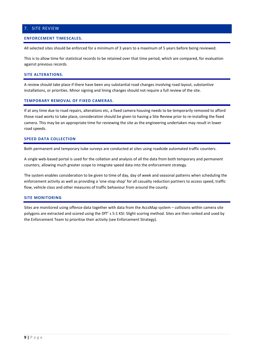## <span id="page-8-0"></span>7. SITE REVIEW

#### <span id="page-8-1"></span>**ENFORCEMENT TIMESCALES.**

All selected sites should be enforced for a minimum of 3 years to a maximum of 5 years before being reviewed.

This is to allow time for statistical records to be retained over that time period, which are compared, for evaluation against previous records.

### <span id="page-8-2"></span>**SITE ALTERATIONS.**

A review should take place if there have been any substantial road changes involving road layout, substantive installations, or priorities. Minor signing and lining changes should not require a full review of the site.

### <span id="page-8-3"></span>**TEMPORARY REMOVAL OF FIXED CAMERAS.**

If at any time due to road repairs, alterations etc, a fixed camera housing needs to be temporarily removed to afford those road works to take place, consideration should be given to having a Site Review prior to re-installing the fixed camera. This may be an appropriate time for reviewing the site as the engineering undertaken may result in lower road speeds.

#### <span id="page-8-4"></span>**SPEED DATA COLLECTION**

Both permanent and temporary tube surveys are conducted at sites using roadside automated traffic counters.

A single web-based portal is used for the collation and analysis of all the data from both temporary and permanent counters, allowing much greater scope to integrate speed data into the enforcement strategy.

The system enables consideration to be given to time of day, day of week and seasonal patterns when scheduling the enforcement activity as well as providing a 'one-stop shop' for all casualty reduction partners to access speed, traffic flow, vehicle class and other measures of traffic behaviour from around the county.

#### <span id="page-8-5"></span>**SITE MONITORING**

Sites are monitored using offence data together with data from the AccsMap system – collisions within camera site polygons are extracted and scored using the DfT' s 5:1 KSI: Slight scoring method. Sites are then ranked and used by the Enforcement Team to prioritise their activity (see Enforcement Strategy).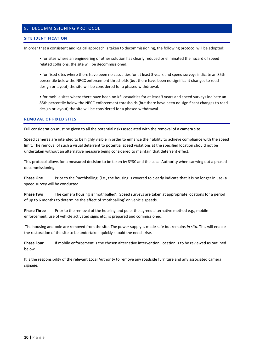## <span id="page-9-0"></span>8. DECOMMISSIONING PROTOCOL

#### <span id="page-9-1"></span>**SITE IDENTIFICATION**

In order that a consistent and logical approach is taken to decommissioning, the following protocol will be adopted:

• for sites where an engineering or other solution has clearly reduced or eliminated the hazard of speed related collisions, the site will be decommissioned.

• for fixed sites where there have been no casualties for at least 3 years and speed surveys indicate an 85th percentile below the NPCC enforcement thresholds (but there have been no significant changes to road design or layout) the site will be considered for a phased withdrawal.

• for mobile sites where there have been no KSI casualties for at least 3 years and speed surveys indicate an 85th percentile below the NPCC enforcement thresholds (but there have been no significant changes to road design or layout) the site will be considered for a phased withdrawal.

## <span id="page-9-2"></span>**REMOVAL OF FIXED SITES**

Full consideration must be given to all the potential risks associated with the removal of a camera site.

Speed cameras are intended to be highly visible in order to enhance their ability to achieve compliance with the speed limit. The removal of such a visual deterrent to potential speed violations at the specified location should not be undertaken without an alternative measure being considered to maintain that deterrent effect.

This protocol allows for a measured decision to be taken by SYSC and the Local Authority when carrying out a phased decommissioning.

**Phase One** Prior to the 'mothballing' (i.e., the housing is covered to clearly indicate that it is no longer in use) a speed survey will be conducted.

**Phase Two** The camera housing is 'mothballed'. Speed surveys are taken at appropriate locations for a period of up to 6 months to determine the effect of 'mothballing' on vehicle speeds.

**Phase Three** Prior to the removal of the housing and pole, the agreed alternative method e.g., mobile enforcement, use of vehicle activated signs etc., is prepared and commissioned.

The housing and pole are removed from the site. The power supply is made safe but remains *in situ*. This will enable the restoration of the site to be undertaken quickly should the need arise.

**Phase Four** If mobile enforcement is the chosen alternative intervention, location is to be reviewed as outlined below.

It is the responsibility of the relevant Local Authority to remove any roadside furniture and any associated camera signage.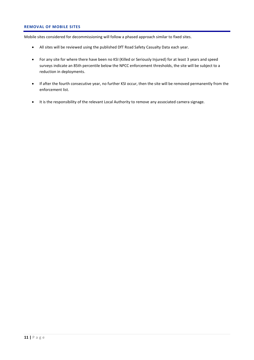## <span id="page-10-0"></span>**REMOVAL OF MOBILE SITES**

Mobile sites considered for decommissioning will follow a phased approach similar to fixed sites.

- All sites will be reviewed using the published DfT Road Safety Casualty Data each year.
- For any site for where there have been no KSI (Killed or Seriously Injured) for at least 3 years and speed surveys indicate an 85th percentile below the NPCC enforcement thresholds, the site will be subject to a reduction in deployments.
- If after the fourth consecutive year, no further KSI occur, then the site will be removed permanently from the enforcement list.
- It is the responsibility of the relevant Local Authority to remove any associated camera signage.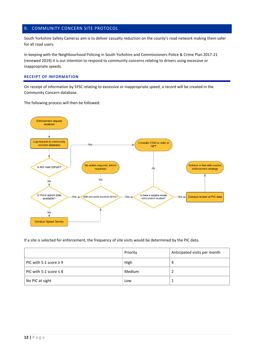## <span id="page-11-0"></span>9. COMMUNITY CONCERN SITE PROTOCOL

South Yorkshire Safety Cameras aim is to deliver casualty reduction on the county's road network making them safer for all road users.

In keeping with the Neighbourhood Policing in South Yorkshire and Commissioners Police & Crime Plan 2017-21 (renewed 2019) it is our intention to respond to community concerns relating to drivers using excessive or inappropriate speeds.

### <span id="page-11-1"></span>**RECEIPT OF INFORMATION**

On receipt of information by SYSC relating to excessive or inappropriate speed, a record will be created in the Community Concern database.

The following process will then be followed:



If a site is selected for enforcement, the frequency of site visits would be determined by the PIC data.

|                             | Priority | Anticipated visits per month |
|-----------------------------|----------|------------------------------|
| PIC with 5:1 score $\geq$ 9 | High     | 4                            |
| PIC with 5:1 score $\leq 8$ | Medium   |                              |
| No PIC at sight             | Low      |                              |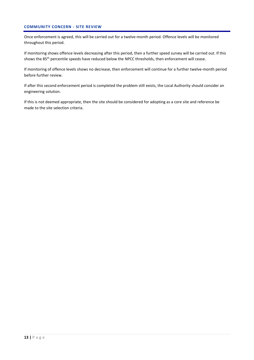## <span id="page-12-0"></span>**COMMUNITY CONCERN - SITE REVIEW**

Once enforcement is agreed, this will be carried out for a twelve-month period. Offence levels will be monitored throughout this period.

If monitoring shows offence levels decreasing after this period, then a further speed survey will be carried out. If this shows the 85<sup>th</sup> percentile speeds have reduced below the NPCC thresholds, then enforcement will cease.

If monitoring of offence levels shows no decrease, then enforcement will continue for a further twelve-month period before further review.

If after this second enforcement period is completed the problem still exists, the Local Authority should consider an engineering solution.

If this is not deemed appropriate, then the site should be considered for adopting as a core site and reference be made to the site selection criteria.